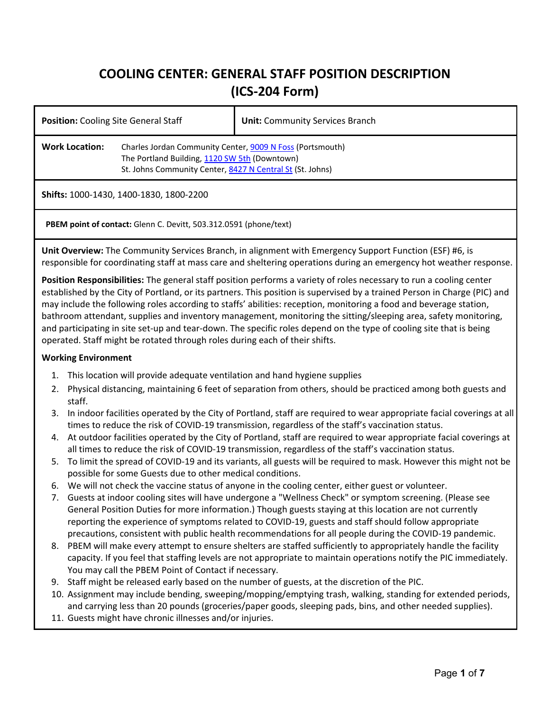# **COOLING CENTER: GENERAL STAFF POSITION DESCRIPTION (ICS-204 Form)**

| <b>Position:</b> Cooling Site General Staff                              |                                                                                                                                                                         | <b>Unit:</b> Community Services Branch |  |
|--------------------------------------------------------------------------|-------------------------------------------------------------------------------------------------------------------------------------------------------------------------|----------------------------------------|--|
| <b>Work Location:</b>                                                    | Charles Jordan Community Center, 9009 N Foss (Portsmouth)<br>The Portland Building, 1120 SW 5th (Downtown)<br>St. Johns Community Center, 8427 N Central St (St. Johns) |                                        |  |
| Shifts: 1000-1430, 1400-1830, 1800-2200                                  |                                                                                                                                                                         |                                        |  |
| <b>PBEM point of contact:</b> Glenn C. Devitt, 503.312.0591 (phone/text) |                                                                                                                                                                         |                                        |  |

**Unit Overview:** The Community Services Branch, in alignment with Emergency Support Function (ESF) #6, is responsible for coordinating staff at mass care and sheltering operations during an emergency hot weather response.

**Position Responsibilities:** The general staff position performs a variety of roles necessary to run a cooling center established by the City of Portland, or its partners. This position is supervised by a trained Person in Charge (PIC) and may include the following roles according to staffs' abilities: reception, monitoring a food and beverage station, bathroom attendant, supplies and inventory management, monitoring the sitting/sleeping area, safety monitoring, and participating in site set-up and tear-down. The specific roles depend on the type of cooling site that is being operated. Staff might be rotated through roles during each of their shifts.

## **Working Environment**

- 1. This location will provide adequate ventilation and hand hygiene supplies
- 2. Physical distancing, maintaining 6 feet of separation from others, should be practiced among both guests and staff.
- 3. In indoor facilities operated by the City of Portland, staff are required to wear appropriate facial coverings at all times to reduce the risk of COVID-19 transmission, regardless of the staff's vaccination status.
- 4. At outdoor facilities operated by the City of Portland, staff are required to wear appropriate facial coverings at all times to reduce the risk of COVID-19 transmission, regardless of the staff's vaccination status.
- 5. To limit the spread of COVID-19 and its variants, all guests will be required to mask. However this might not be possible for some Guests due to other medical conditions.
- 6. We will not check the vaccine status of anyone in the cooling center, either guest or volunteer.
- 7. Guests at indoor cooling sites will have undergone a "Wellness Check" or symptom screening. (Please see General Position Duties for more information.) Though guests staying at this location are not currently reporting the experience of symptoms related to COVID-19, guests and staff should follow appropriate precautions, consistent with public health recommendations for all people during the COVID-19 pandemic.
- 8. PBEM will make every attempt to ensure shelters are staffed sufficiently to appropriately handle the facility capacity. If you feel that staffing levels are not appropriate to maintain operations notify the PIC immediately. You may call the PBEM Point of Contact if necessary.
- 9. Staff might be released early based on the number of guests, at the discretion of the PIC.
- 10. Assignment may include bending, sweeping/mopping/emptying trash, walking, standing for extended periods, and carrying less than 20 pounds (groceries/paper goods, sleeping pads, bins, and other needed supplies).
- 11. Guests might have chronic illnesses and/or injuries.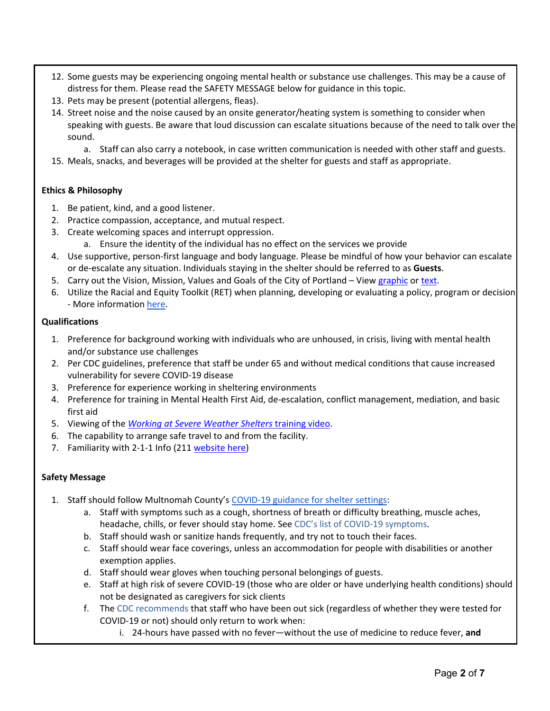- 12. Some guests may be experiencing ongoing mental health or substance use challenges. This may be a cause of distress for them. Please read the SAFETY MESSAGE below for guidance in this topic.
- 13. Pets may be present (potential allergens, fleas).
- 14. Street noise and the noise caused by an onsite generator/heating system is something to consider when speaking with guests. Be aware that loud discussion can escalate situations because of the need to talk over the sound.
	- a. Staff can also carry a notebook, in case written communication is needed with other staff and guests.
- 15. Meals, snacks, and beverages will be provided at the shelter for guests and staff as appropriate.

## **Ethics & Philosophy**

- 1. Be patient, kind, and a good listener.
- 2. Practice compassion, acceptance, and mutual respect.
- 3. Create welcoming spaces and interrupt oppression.
	- a. Ensure the identity of the individual has no effect on the services we provide
- 4. Use supportive, person-first language and body language. Please be mindful of how your behavior can escalate or de-escalate any situation. Individuals staying in the shelter should be referred to as **Guests**.
- 5. Carry out the Vision, Mission, Values and Goals of the City of Portland View [graphic](https://www.portlandoregon.gov/bhr/article/765248) or [text.](https://www.portlandoregon.gov/bhr/article/765355)
- 6. Utilize the Racial and Equity Toolkit (RET) when planning, developing or evaluating a policy, program or decision - More information [here.](https://www.portland.gov/parks/equity-inclusion#toc-equity-lens-and-racial-equity-toolkit-ret-)

#### **Qualifications**

- 1. Preference for background working with individuals who are unhoused, in crisis, living with mental health and/or substance use challenges
- 2. Per CDC guidelines, preference that staff be under 65 and without medical conditions that cause increased vulnerability for severe COVID-19 disease
- 3. Preference for experience working in sheltering environments
- 4. Preference for training in Mental Health First Aid, de-escalation, conflict management, mediation, and basic first aid
- 5. Viewing of the *[Working at Severe Weather Shelters](https://portlandnet.tumblr.com/post/182585933365/training-video-for-helping-at-overnight-warming)* [training video.](https://portlandnet.tumblr.com/post/182585933365/training-video-for-helping-at-overnight-warming)
- 6. The capability to arrange safe travel to and from the facility.
- 7. Familiarity with 2-1-1 Info (21[1 website here\)](https://www.211info.org/)

#### **Safety Message**

- 1. Staff should follow Multnomah County's [COVID-19 guidance for shelter settings:](https://multco.us/novel-coronavirus-covid-19/covid-19-guidance-shelter-settings)
	- a. Staff with symptoms such as a cough, shortness of breath or difficulty breathing, muscle aches, headache, chills, or fever should stay home. See [CDC's list of COVID-19 symptoms.](https://www.cdc.gov/coronavirus/2019-ncov/symptoms-testing/symptoms.html)
	- b. Staff should wash or sanitize hands frequently, and try not to touch their faces.
	- c. Staff should wear face coverings, unless an accommodation for people with disabilities or another exemption applies.
	- d. Staff should wear gloves when touching personal belongings of guests.
	- e. Staff at high risk of severe COVID-19 (those who are older or have underlying health conditions) should not be designated as caregivers for sick clients
	- f. The [CDC recommends](https://www.cdc.gov/coronavirus/2019-ncov/hcp/disposition-in-home-patients.html) that staff who have been out sick (regardless of whether they were tested for COVID-19 or not) should only return to work when:
		- i. 24-hours have passed with no fever—without the use of medicine to reduce fever, **and**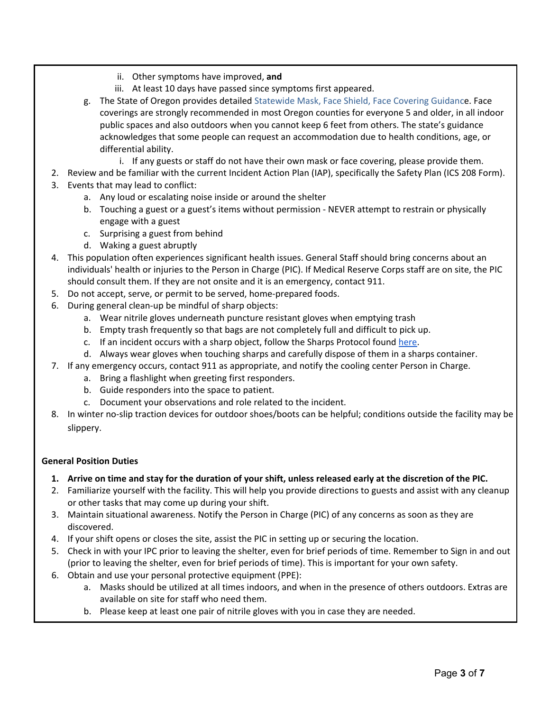- ii. Other symptoms have improved, **and**
- iii. At least 10 days have passed since symptoms first appeared.
- g. The State of Oregon provides detailed [Statewide Mask, Face Shield, Face Covering Guidance](https://www.oregon.gov/olcc/docs/covid19/OHA_Statewide_FaceCoveringGuidance_072420.pdf). Face coverings are strongly recommended in most Oregon counties for everyone 5 and older, in all indoor public spaces and also outdoors when you cannot keep 6 feet from others. The state's guidance acknowledges that some people can request an accommodation due to health conditions, age, or differential ability.
	- i. If any guests or staff do not have their own mask or face covering, please provide them.
- 2. Review and be familiar with the current Incident Action Plan (IAP), specifically the Safety Plan (ICS 208 Form).
- 3. Events that may lead to conflict:
	- a. Any loud or escalating noise inside or around the shelter
	- b. Touching a guest or a guest's items without permission NEVER attempt to restrain or physically engage with a guest
	- c. Surprising a guest from behind
	- d. Waking a guest abruptly
- 4. This population often experiences significant health issues. General Staff should bring concerns about an individuals' health or injuries to the Person in Charge (PIC). If Medical Reserve Corps staff are on site, the PIC should consult them. If they are not onsite and it is an emergency, contact 911.
- 5. Do not accept, serve, or permit to be served, home-prepared foods.
- 6. During general clean-up be mindful of sharp objects:
	- a. Wear nitrile gloves underneath puncture resistant gloves when emptying trash
	- b. Empty trash frequently so that bags are not completely full and difficult to pick up.
	- c. If an incident occurs with a sharp object, follow the Sharps Protocol found [here.](https://www.cdc.gov/niosh/topics/bbp/emergnedl.html)
	- d. Always wear gloves when touching sharps and carefully dispose of them in a sharps container.
- 7. If any emergency occurs, contact 911 as appropriate, and notify the cooling center Person in Charge.
	- a. Bring a flashlight when greeting first responders.
	- b. Guide responders into the space to patient.
	- c. Document your observations and role related to the incident.
- 8. In winter no-slip traction devices for outdoor shoes/boots can be helpful; conditions outside the facility may be slippery.

# **General Position Duties**

- **1. Arrive on time and stay for the duration of your shift, unless released early at the discretion of the PIC.**
- 2. Familiarize yourself with the facility. This will help you provide directions to guests and assist with any cleanup or other tasks that may come up during your shift.
- 3. Maintain situational awareness. Notify the Person in Charge (PIC) of any concerns as soon as they are discovered.
- 4. If your shift opens or closes the site, assist the PIC in setting up or securing the location.
- 5. Check in with your IPC prior to leaving the shelter, even for brief periods of time. Remember to Sign in and out (prior to leaving the shelter, even for brief periods of time). This is important for your own safety.
- 6. Obtain and use your personal protective equipment (PPE):
	- a. Masks should be utilized at all times indoors, and when in the presence of others outdoors. Extras are available on site for staff who need them.
	- b. Please keep at least one pair of nitrile gloves with you in case they are needed.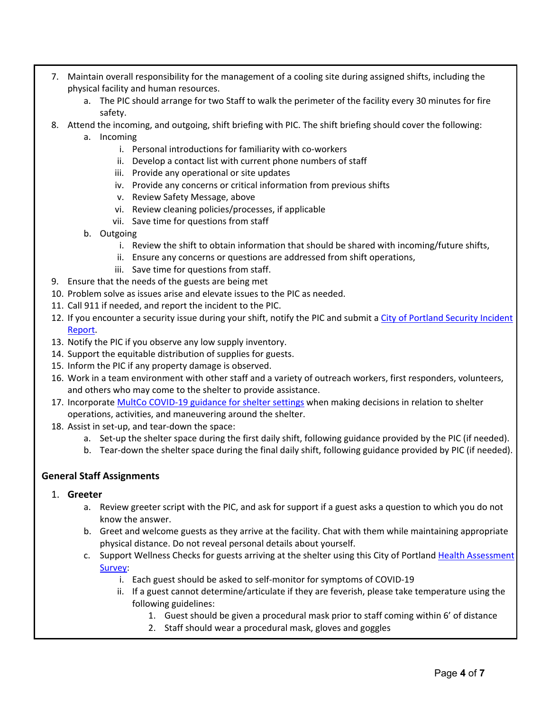- 7. Maintain overall responsibility for the management of a cooling site during assigned shifts, including the physical facility and human resources.
	- a. The PIC should arrange for two Staff to walk the perimeter of the facility every 30 minutes for fire safety.
- 8. Attend the incoming, and outgoing, shift briefing with PIC. The shift briefing should cover the following:
	- a. Incoming
		- i. Personal introductions for familiarity with co-workers
		- ii. Develop a contact list with current phone numbers of staff
		- iii. Provide any operational or site updates
		- iv. Provide any concerns or critical information from previous shifts
		- v. Review Safety Message, above
		- vi. Review cleaning policies/processes, if applicable
		- vii. Save time for questions from staff
	- b. Outgoing
		- i. Review the shift to obtain information that should be shared with incoming/future shifts,
		- ii. Ensure any concerns or questions are addressed from shift operations,
		- iii. Save time for questions from staff.
- 9. Ensure that the needs of the guests are being met
- 10. Problem solve as issues arise and elevate issues to the PIC as needed.
- 11. Call 911 if needed, and report the incident to the PIC.
- 12. If you encounter a security issue during your shift, notify the PIC and submit a City of Portland Security Incident [Report.](https://survey123.arcgis.com/share/07e20494c3a146988864ff11f7ac0e39)
- 13. Notify the PIC if you observe any low supply inventory.
- 14. Support the equitable distribution of supplies for guests.
- 15. Inform the PIC if any property damage is observed.
- 16. Work in a team environment with other staff and a variety of outreach workers, first responders, volunteers, and others who may come to the shelter to provide assistance.
- 17. Incorporate [MultCo COVID-19 guidance for shelter settings](https://multco.us/novel-coronavirus-covid-19/covid-19-guidance-shelter-settings) when making decisions in relation to shelter operations, activities, and maneuvering around the shelter.
- 18. Assist in set-up, and tear-down the space:
	- a. Set-up the shelter space during the first daily shift, following guidance provided by the PIC (if needed).
	- b. Tear-down the shelter space during the final daily shift, following guidance provided by PIC (if needed).

## **General Staff Assignments**

- 1. **Greeter** 
	- a. Review greeter script with the PIC, and ask for support if a guest asks a question to which you do not know the answer.
	- b. Greet and welcome guests as they arrive at the facility. Chat with them while maintaining appropriate physical distance. Do not reveal personal details about yourself.
	- c. Support Wellness Checks for guests arriving at the shelter using this City of Portland Health Assessment [Survey:](https://www.portland.gov/health-assessment)
		- i. Each guest should be asked to self-monitor for symptoms of COVID-19
		- ii. If a guest cannot determine/articulate if they are feverish, please take temperature using the following guidelines:
			- 1. Guest should be given a procedural mask prior to staff coming within 6' of distance
			- 2. Staff should wear a procedural mask, gloves and goggles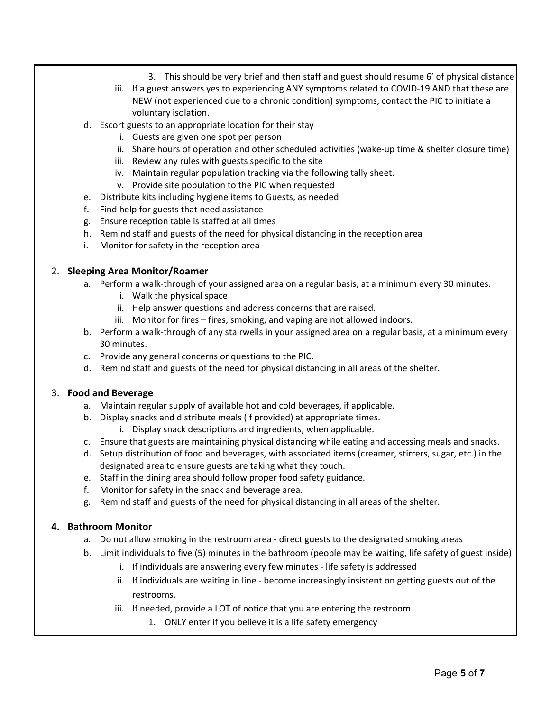- 3. This should be very brief and then staff and guest should resume 6' of physical distance
- iii. If a guest answers yes to experiencing ANY symptoms related to COVID-19 AND that these are NEW (not experienced due to a chronic condition) symptoms, contact the PIC to initiate a voluntary isolation.
- d. Escort guests to an appropriate location for their stay
	- i. Guests are given one spot per person
	- ii. Share hours of operation and other scheduled activities (wake-up time & shelter closure time)
	- iii. Review any rules with guests specific to the site
	- iv. Maintain regular population tracking via the following tally sheet.
	- v. Provide site population to the PIC when requested
- e. Distribute kits including hygiene items to Guests, as needed
- f. Find help for guests that need assistance
- g. Ensure reception table is staffed at all times
- h. Remind staff and guests of the need for physical distancing in the reception area
- i. Monitor for safety in the reception area

## 2. **Sleeping Area Monitor/Roamer**

- a. Perform a walk-through of your assigned area on a regular basis, at a minimum every 30 minutes.
	- i. Walk the physical space
	- ii. Help answer questions and address concerns that are raised.
	- iii. Monitor for fires fires, smoking, and vaping are not allowed indoors.
- b. Perform a walk-through of any stairwells in your assigned area on a regular basis, at a minimum every 30 minutes.
- c. Provide any general concerns or questions to the PIC.
- d. Remind staff and guests of the need for physical distancing in all areas of the shelter.

#### 3. **Food and Beverage**

- a. Maintain regular supply of available hot and cold beverages, if applicable.
- b. Display snacks and distribute meals (if provided) at appropriate times.
	- i. Display snack descriptions and ingredients, when applicable.
- c. Ensure that guests are maintaining physical distancing while eating and accessing meals and snacks.
- d. Setup distribution of food and beverages, with associated items (creamer, stirrers, sugar, etc.) in the designated area to ensure guests are taking what they touch.
- e. Staff in the dining area should follow proper food safety guidance.
- f. Monitor for safety in the snack and beverage area.
- g. Remind staff and guests of the need for physical distancing in all areas of the shelter.

## **4. Bathroom Monitor**

- a. Do not allow smoking in the restroom area direct guests to the designated smoking areas
- b. Limit individuals to five (5) minutes in the bathroom (people may be waiting, life safety of guest inside)
	- i. If individuals are answering every few minutes life safety is addressed
	- ii. If individuals are waiting in line become increasingly insistent on getting guests out of the restrooms.
	- iii. If needed, provide a LOT of notice that you are entering the restroom
		- 1. ONLY enter if you believe it is a life safety emergency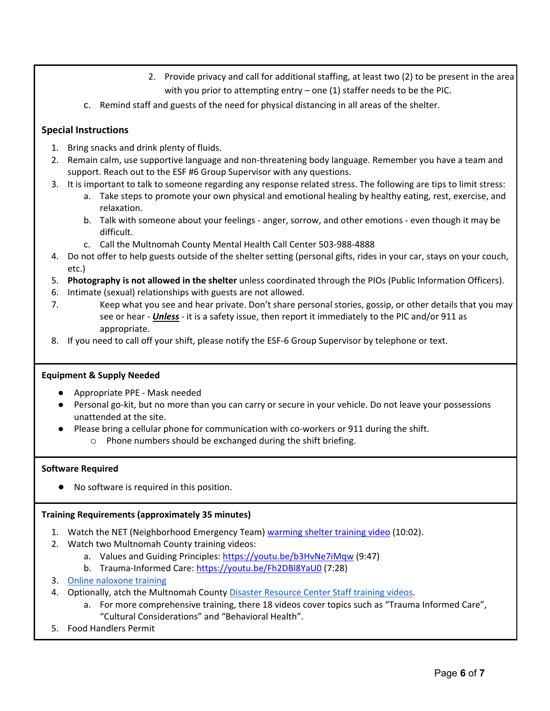- 2. Provide privacy and call for additional staffing, at least two (2) to be present in the area with you prior to attempting entry – one (1) staffer needs to be the PIC.
- c. Remind staff and guests of the need for physical distancing in all areas of the shelter.

# **Special Instructions**

- 1. Bring snacks and drink plenty of fluids.
- 2. Remain calm, use supportive language and non-threatening body language. Remember you have a team and support. Reach out to the ESF #6 Group Supervisor with any questions.
- 3. It is important to talk to someone regarding any response related stress. The following are tips to limit stress:
	- a. Take steps to promote your own physical and emotional healing by healthy eating, rest, exercise, and relaxation.
	- b. Talk with someone about your feelings anger, sorrow, and other emotions even though it may be difficult.
	- c. Call the Multnomah County Mental Health Call Center 503-988-4888
- 4. Do not offer to help guests outside of the shelter setting (personal gifts, rides in your car, stays on your couch, etc.)
- 5. **Photography is not allowed in the shelter** unless coordinated through the PIOs (Public Information Officers).
- 6. Intimate (sexual) relationships with guests are not allowed.
- 7. Keep what you see and hear private. Don't share personal stories, gossip, or other details that you may see or hear - *Unless* - it is a safety issue, then report it immediately to the PIC and/or 911 as appropriate.
- 8. If you need to call off your shift, please notify the ESF-6 Group Supervisor by telephone or text.

## **Equipment & Supply Needed**

- Appropriate PPE Mask needed
- Personal go-kit, but no more than you can carry or secure in your vehicle. Do not leave your possessions unattended at the site.
- Please bring a cellular phone for communication with co-workers or 911 during the shift. o Phone numbers should be exchanged during the shift briefing.

## **Software Required**

● No software is required in this position.

## **Training Requirements (approximately 35 minutes)**

- 1. Watch the NET (Neighborhood Emergency Team) [warming shelter training video](https://portlandnet.tumblr.com/post/182585933365/training-video-for-helping-at-overnight-warming) (10:02).
- 2. Watch two Multnomah County training videos:
	- a. Values and Guiding Principles:<https://youtu.be/b3HvNe7iMqw> (9:47)
	- b. Trauma-Informed Care:<https://youtu.be/Fh2DBl8YaU0> (7:28)
- 3. [Online naloxone training](https://www.oregon.gov/oha/ph/ProviderPartnerResources/EMSTraumaSystems/Pages/epi-protocol-training.aspx#naloxone)
- 4. Optionally, atch the Multnomah Count[y Disaster Resource Center Staff training videos.](https://www.youtube.com/watch?v=dZ5NOzoCOts&list=PLBBA-VEWU2IZN1FFKSwUL694eshLHtp1w)
	- a. For more comprehensive training, there 18 videos cover topics such as "Trauma Informed Care", "Cultural Considerations" and "Behavioral Health".
- 5. Food Handlers Permit